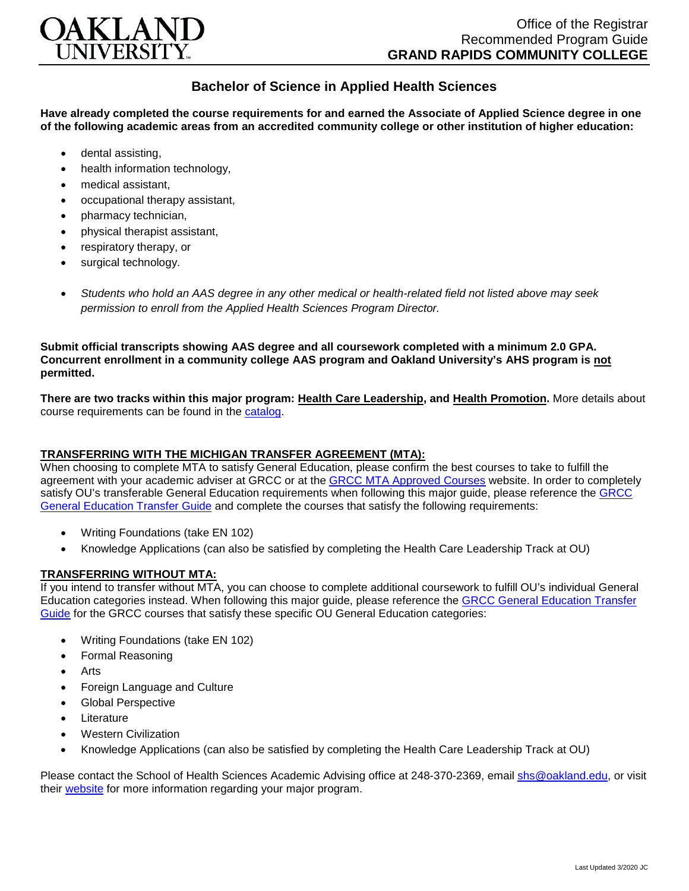

## **Bachelor of Science in Applied Health Sciences**

**Have already completed the course requirements for and earned the Associate of Applied Science degree in one of the following academic areas from an accredited community college or other institution of higher education:**

- dental assisting,
- health information technology.
- medical assistant,
- occupational therapy assistant,
- pharmacy technician,
- physical therapist assistant,
- respiratory therapy, or
- surgical technology.
- *Students who hold an AAS degree in any other medical or health-related field not listed above may seek permission to enroll from the Applied Health Sciences Program Director.*

**Submit official transcripts showing AAS degree and all coursework completed with a minimum 2.0 GPA. Concurrent enrollment in a community college AAS program and Oakland University's AHS program is not permitted.**

**There are two tracks within this major program: Health Care Leadership, and Health Promotion.** More details about course requirements can be found in the [catalog.](http://catalog.oakland.edu/preview_program.php?catoid=44&poid=6779)

## **TRANSFERRING WITH THE MICHIGAN TRANSFER AGREEMENT (MTA):**

When choosing to complete MTA to satisfy General Education, please confirm the best courses to take to fulfill the agreement with your academic adviser at GRCC or at the GRCC [MTA Approved Courses](https://catalog.grcc.edu/content.php?catoid=38&navoid=2739) website. In order to completely satisfy OU's transferable General Education requirements when following this major guide, please reference the [GRCC](https://www.oakland.edu/Assets/Oakland/program-guides/grand-rapids-community-college/university-general-education-requirements/Grand%20Rapids%20Gen%20Ed.pdf)  [General Education Transfer Guide](https://www.oakland.edu/Assets/Oakland/program-guides/grand-rapids-community-college/university-general-education-requirements/Grand%20Rapids%20Gen%20Ed.pdf) and complete the courses that satisfy the following requirements:

- Writing Foundations (take EN 102)
- Knowledge Applications (can also be satisfied by completing the Health Care Leadership Track at OU)

## **TRANSFERRING WITHOUT MTA:**

If you intend to transfer without MTA, you can choose to complete additional coursework to fulfill OU's individual General Education categories instead. When following this major guide, please reference the [GRCC General Education Transfer](https://www.oakland.edu/Assets/Oakland/program-guides/grand-rapids-community-college/university-general-education-requirements/Grand%20Rapids%20Gen%20Ed.pdf)  [Guide](https://www.oakland.edu/Assets/Oakland/program-guides/grand-rapids-community-college/university-general-education-requirements/Grand%20Rapids%20Gen%20Ed.pdf) for the GRCC courses that satisfy these specific OU General Education categories:

- Writing Foundations (take EN 102)
- Formal Reasoning
- Arts
- Foreign Language and Culture
- Global Perspective
- **Literature**
- Western Civilization
- Knowledge Applications (can also be satisfied by completing the Health Care Leadership Track at OU)

Please contact the School of Health Sciences Academic Advising office at 248-370-2369, email [shs@oakland.edu,](mailto:shs@oakland.edu) or visit their [website](http://www.oakland.edu/shs/advising) for more information regarding your major program.